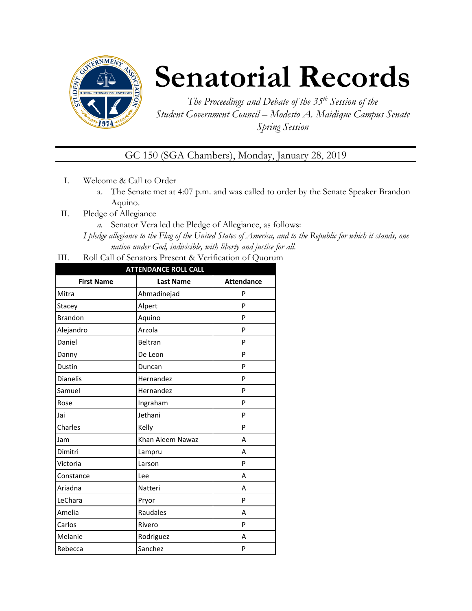

# **Senatorial Records**

*The Proceedings and Debate of the 35 th Session of the Student Government Council – Modesto A. Maidique Campus Senate Spring Session*

GC 150 (SGA Chambers), Monday, January 28, 2019

- I. Welcome & Call to Order
	- a. The Senate met at 4:07 p.m. and was called to order by the Senate Speaker Brandon Aquino.
- II. Pledge of Allegiance
	- *a.* Senator Vera led the Pledge of Allegiance, as follows:

*I pledge allegiance to the Flag of the United States of America, and to the Republic for which it stands, one nation under God, indivisible, with liberty and justice for all.*

III. Roll Call of Senators Present & Verification of Quorum

| <b>ATTENDANCE ROLL CALL</b> |                  |                   |  |  |
|-----------------------------|------------------|-------------------|--|--|
| <b>First Name</b>           | <b>Last Name</b> | <b>Attendance</b> |  |  |
| Mitra                       | Ahmadinejad      | P                 |  |  |
| Stacey                      | Alpert           | P                 |  |  |
| <b>Brandon</b>              | Aquino           | P                 |  |  |
| Alejandro                   | Arzola           | P                 |  |  |
| Daniel                      | Beltran          | P                 |  |  |
| Danny                       | De Leon          | P                 |  |  |
| Dustin                      | Duncan           | P                 |  |  |
| <b>Dianelis</b>             | Hernandez        | P                 |  |  |
| Samuel                      | Hernandez        | P                 |  |  |
| Rose                        | Ingraham         | P                 |  |  |
| Jai                         | Jethani          | P                 |  |  |
| Charles                     | Kelly            | P                 |  |  |
| Jam                         | Khan Aleem Nawaz | A                 |  |  |
| Dimitri                     | Lampru           | A                 |  |  |
| Victoria                    | Larson           | P                 |  |  |
| Constance                   | Lee              | A                 |  |  |
| Ariadna                     | Natteri          | A                 |  |  |
| LeChara                     | Pryor            | P                 |  |  |
| Amelia                      | Raudales         | A                 |  |  |
| Carlos                      | Rivero           | P                 |  |  |
| Melanie                     | Rodriguez        | A                 |  |  |
| Rebecca                     | Sanchez          | P                 |  |  |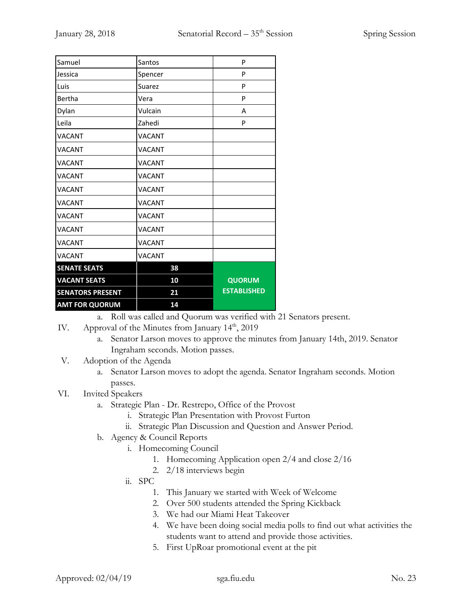| Samuel                  | Santos        | P                  |
|-------------------------|---------------|--------------------|
| Jessica                 | Spencer       | P                  |
| Luis                    | Suarez        | P                  |
| Bertha                  | Vera          | P                  |
| Dylan                   | Vulcain       | A                  |
| Leila                   | Zahedi        | P                  |
| <b>VACANT</b>           | <b>VACANT</b> |                    |
| <b>VACANT</b>           | <b>VACANT</b> |                    |
| <b>VACANT</b>           | <b>VACANT</b> |                    |
| <b>VACANT</b>           | <b>VACANT</b> |                    |
| <b>VACANT</b>           | <b>VACANT</b> |                    |
| <b>VACANT</b>           | <b>VACANT</b> |                    |
| <b>VACANT</b>           | <b>VACANT</b> |                    |
| <b>VACANT</b>           | <b>VACANT</b> |                    |
| <b>VACANT</b>           | <b>VACANT</b> |                    |
| <b>VACANT</b>           | VACANT        |                    |
| <b>SENATE SEATS</b>     | 38            |                    |
| <b>VACANT SEATS</b>     | 10            | <b>QUORUM</b>      |
| <b>SENATORS PRESENT</b> | 21            | <b>ESTABLISHED</b> |
| <b>AMT FOR QUORUM</b>   | 14            |                    |

a. Roll was called and Quorum was verified with 21 Senators present.

- IV. Approval of the Minutes from January 14<sup>th</sup>, 2019
	- a. Senator Larson moves to approve the minutes from January 14th, 2019. Senator Ingraham seconds. Motion passes.
- V. Adoption of the Agenda
	- a. Senator Larson moves to adopt the agenda. Senator Ingraham seconds. Motion passes.
- VI. Invited Speakers
	- a. Strategic Plan Dr. Restrepo, Office of the Provost
		- i. Strategic Plan Presentation with Provost Furton
		- ii. Strategic Plan Discussion and Question and Answer Period.
	- b. Agency & Council Reports
		- i. Homecoming Council
			- 1. Homecoming Application open 2/4 and close 2/16
			- 2. 2/18 interviews begin
		- ii. SPC
			- 1. This January we started with Week of Welcome
			- 2. Over 500 students attended the Spring Kickback
			- 3. We had our Miami Heat Takeover
			- 4. We have been doing social media polls to find out what activities the students want to attend and provide those activities.
			- 5. First UpRoar promotional event at the pit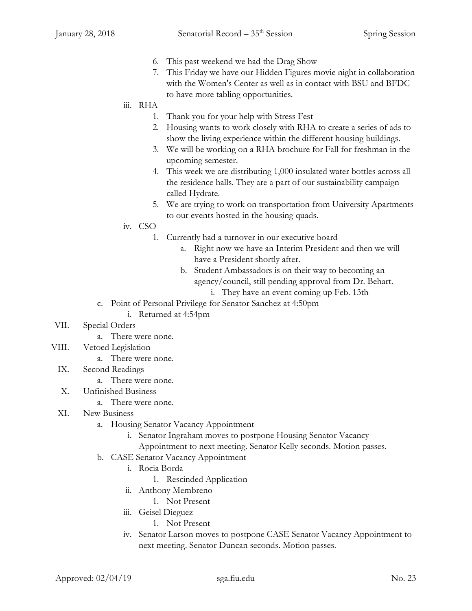- 6. This past weekend we had the Drag Show
- 7. This Friday we have our Hidden Figures movie night in collaboration with the Women's Center as well as in contact with BSU and BFDC to have more tabling opportunities.

#### iii. RHA

- 1. Thank you for your help with Stress Fest
- 2. Housing wants to work closely with RHA to create a series of ads to show the living experience within the different housing buildings.
- 3. We will be working on a RHA brochure for Fall for freshman in the upcoming semester.
- 4. This week we are distributing 1,000 insulated water bottles across all the residence halls. They are a part of our sustainability campaign called Hydrate.
- 5. We are trying to work on transportation from University Apartments to our events hosted in the housing quads.
- iv. CSO
	- 1. Currently had a turnover in our executive board
		- a. Right now we have an Interim President and then we will have a President shortly after.
		- b. Student Ambassadors is on their way to becoming an agency/council, still pending approval from Dr. Behart.
			- i. They have an event coming up Feb. 13th
- c. Point of Personal Privilege for Senator Sanchez at 4:50pm
	- i. Returned at 4:54pm
- VII. Special Orders
	- a. There were none.
- VIII. Vetoed Legislation
	- a. There were none.
	- IX. Second Readings
		- a. There were none.
	- X. Unfinished Business
		- a. There were none.
	- XI. New Business
		- a. Housing Senator Vacancy Appointment
			- i. Senator Ingraham moves to postpone Housing Senator Vacancy
			- Appointment to next meeting. Senator Kelly seconds. Motion passes.
		- b. CASE Senator Vacancy Appointment
			- i. Rocia Borda
				- 1. Rescinded Application
			- ii. Anthony Membreno
				- 1. Not Present
			- iii. Geisel Dieguez
				- 1. Not Present
			- iv. Senator Larson moves to postpone CASE Senator Vacancy Appointment to next meeting. Senator Duncan seconds. Motion passes.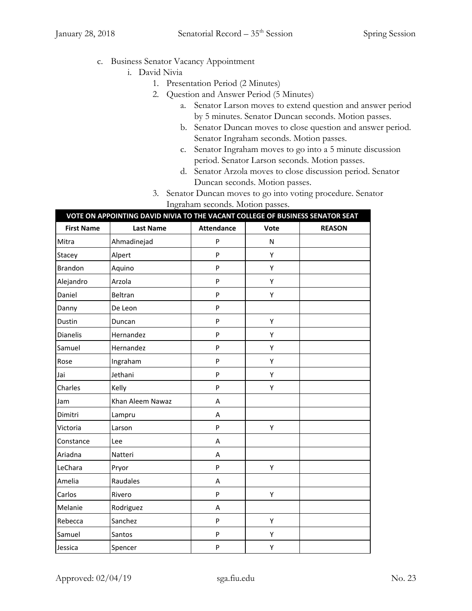- c. Business Senator Vacancy Appointment
	- i. David Nivia
		- 1. Presentation Period (2 Minutes)
		- 2. Question and Answer Period (5 Minutes)
			- a. Senator Larson moves to extend question and answer period by 5 minutes. Senator Duncan seconds. Motion passes.
			- b. Senator Duncan moves to close question and answer period. Senator Ingraham seconds. Motion passes.
			- c. Senator Ingraham moves to go into a 5 minute discussion period. Senator Larson seconds. Motion passes.
			- d. Senator Arzola moves to close discussion period. Senator Duncan seconds. Motion passes.
		- 3. Senator Duncan moves to go into voting procedure. Senator Ingraham seconds. Motion passes.

|                   | VOTE ON APPOINTING DAVID NIVIA TO THE VACANT COLLEGE OF BUSINESS SENATOR SEAT |                   |      |               |  |
|-------------------|-------------------------------------------------------------------------------|-------------------|------|---------------|--|
| <b>First Name</b> | <b>Last Name</b>                                                              | <b>Attendance</b> | Vote | <b>REASON</b> |  |
| Mitra             | Ahmadinejad                                                                   | P                 | N    |               |  |
| Stacey            | Alpert                                                                        | P                 | Υ    |               |  |
| <b>Brandon</b>    | Aquino                                                                        | P                 | Υ    |               |  |
| Alejandro         | Arzola                                                                        | P                 | Υ    |               |  |
| Daniel            | Beltran                                                                       | P                 | Υ    |               |  |
| Danny             | De Leon                                                                       | P                 |      |               |  |
| Dustin            | Duncan                                                                        | P                 | Υ    |               |  |
| Dianelis          | Hernandez                                                                     | P                 | Υ    |               |  |
| Samuel            | Hernandez                                                                     | P                 | Υ    |               |  |
| Rose              | Ingraham                                                                      | P                 | Υ    |               |  |
| Jai               | Jethani                                                                       | P                 | Υ    |               |  |
| Charles           | Kelly                                                                         | P                 | Y    |               |  |
| Jam               | Khan Aleem Nawaz                                                              | A                 |      |               |  |
| Dimitri           | Lampru                                                                        | A                 |      |               |  |
| Victoria          | Larson                                                                        | P                 | Υ    |               |  |
| Constance         | Lee                                                                           | Α                 |      |               |  |
| Ariadna           | Natteri                                                                       | A                 |      |               |  |
| LeChara           | Pryor                                                                         | P                 | Υ    |               |  |
| Amelia            | Raudales                                                                      | A                 |      |               |  |
| Carlos            | Rivero                                                                        | P                 | Υ    |               |  |
| Melanie           | Rodriguez                                                                     | A                 |      |               |  |
| Rebecca           | Sanchez                                                                       | P                 | Υ    |               |  |
| Samuel            | Santos                                                                        | P                 | Υ    |               |  |
| Jessica           | Spencer                                                                       | P                 | Υ    |               |  |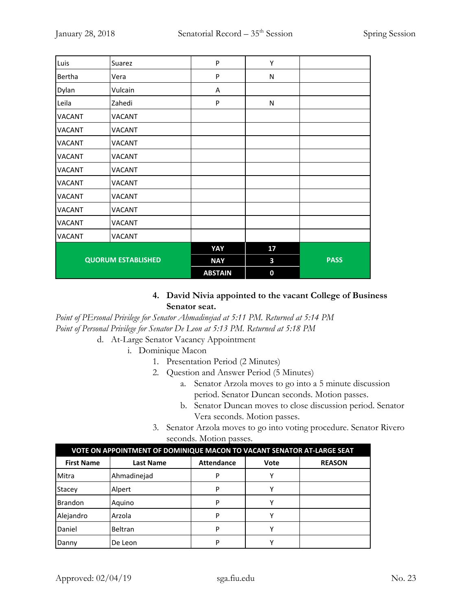| Luis                      | Suarez        | P              | Υ           |             |
|---------------------------|---------------|----------------|-------------|-------------|
| Bertha                    | Vera          | P              | N           |             |
| Dylan                     | Vulcain       | Α              |             |             |
| Leila                     | Zahedi        | P              | N           |             |
| <b>VACANT</b>             | <b>VACANT</b> |                |             |             |
| <b>VACANT</b>             | <b>VACANT</b> |                |             |             |
| <b>VACANT</b>             | <b>VACANT</b> |                |             |             |
| <b>VACANT</b>             | <b>VACANT</b> |                |             |             |
| <b>VACANT</b>             | <b>VACANT</b> |                |             |             |
| <b>VACANT</b>             | <b>VACANT</b> |                |             |             |
| <b>VACANT</b>             | <b>VACANT</b> |                |             |             |
| <b>VACANT</b>             | <b>VACANT</b> |                |             |             |
| <b>VACANT</b>             | <b>VACANT</b> |                |             |             |
| VACANT                    | <b>VACANT</b> |                |             |             |
|                           |               | YAY            | 17          |             |
| <b>QUORUM ESTABLISHED</b> |               | <b>NAY</b>     | 3           | <b>PASS</b> |
|                           |               | <b>ABSTAIN</b> | $\mathbf 0$ |             |

## **4. David Nivia appointed to the vacant College of Business Senator seat.**

*Point of PErsonal Privilege for Senator Ahmadinejad at 5:11 PM. Returned at 5:14 PM Point of Personal Privilege for Senator De Leon at 5:13 PM. Returned at 5:18 PM*

- d. At-Large Senator Vacancy Appointment
	- i. Dominique Macon
		- 1. Presentation Period (2 Minutes)
		- 2. Question and Answer Period (5 Minutes)
			- a. Senator Arzola moves to go into a 5 minute discussion period. Senator Duncan seconds. Motion passes.
			- b. Senator Duncan moves to close discussion period. Senator Vera seconds. Motion passes.
		- 3. Senator Arzola moves to go into voting procedure. Senator Rivero seconds. Motion passes.

| VOTE ON APPOINTMENT OF DOMINIQUE MACON TO VACANT SENATOR AT-LARGE SEAT |                  |                   |      |               |  |
|------------------------------------------------------------------------|------------------|-------------------|------|---------------|--|
| <b>First Name</b>                                                      | <b>Last Name</b> | <b>Attendance</b> | Vote | <b>REASON</b> |  |
| Mitra                                                                  | Ahmadinejad      | P                 |      |               |  |
| <b>Stacey</b>                                                          | Alpert           | P                 |      |               |  |
| <b>Brandon</b>                                                         | Aquino           | P                 | v    |               |  |
| Alejandro                                                              | Arzola           | P                 | v    |               |  |
| Daniel                                                                 | Beltran          | P                 |      |               |  |
| Danny                                                                  | De Leon          | P                 |      |               |  |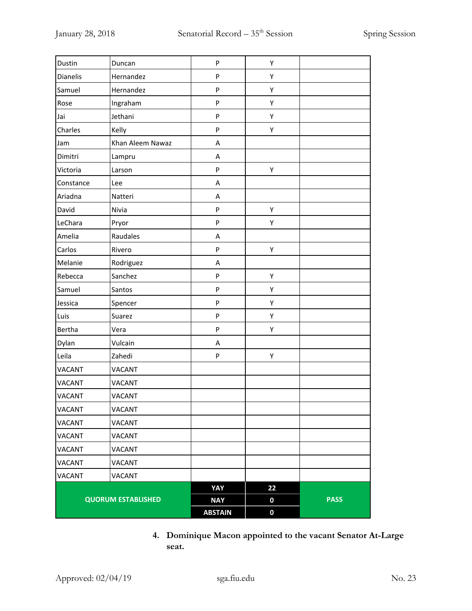| Dustin                    | Duncan           | P              | Υ                |             |
|---------------------------|------------------|----------------|------------------|-------------|
| <b>Dianelis</b>           | Hernandez        | P              | Υ                |             |
| Samuel                    | Hernandez        | P              | Υ                |             |
| Rose                      | Ingraham         | P              | Υ                |             |
| Jai                       | Jethani          | P              | Υ                |             |
| Charles                   | Kelly            | P              | Υ                |             |
| Jam                       | Khan Aleem Nawaz | А              |                  |             |
| Dimitri                   | Lampru           | A              |                  |             |
| Victoria                  | Larson           | P              | Υ                |             |
| Constance                 | Lee              | А              |                  |             |
| Ariadna                   | Natteri          | А              |                  |             |
| David                     | Nivia            | P              | Υ                |             |
| LeChara                   | Pryor            | P              | Υ                |             |
| Amelia                    | Raudales         | A              |                  |             |
| Carlos                    | Rivero           | P              | Υ                |             |
| Melanie                   | Rodriguez        | Α              |                  |             |
| Rebecca                   | Sanchez          | P              | Υ                |             |
| Samuel                    | Santos           | P              | Υ                |             |
| Jessica                   | Spencer          | P              | Υ                |             |
| Luis                      | Suarez           | P              | Υ                |             |
| Bertha                    | Vera             | P              | Υ                |             |
| Dylan                     | Vulcain          | A              |                  |             |
| Leila                     | Zahedi           | P              | Υ                |             |
| <b>VACANT</b>             | <b>VACANT</b>    |                |                  |             |
| <b>VACANT</b>             | <b>VACANT</b>    |                |                  |             |
| <b>VACANT</b>             | VACANT           |                |                  |             |
| VACANT                    | VACANT           |                |                  |             |
| VACANT                    | <b>VACANT</b>    |                |                  |             |
| <b>VACANT</b>             | <b>VACANT</b>    |                |                  |             |
| VACANT                    | <b>VACANT</b>    |                |                  |             |
| VACANT                    | <b>VACANT</b>    |                |                  |             |
| <b>VACANT</b>             | <b>VACANT</b>    |                |                  |             |
|                           |                  | YAY            | 22               |             |
| <b>QUORUM ESTABLISHED</b> |                  | <b>NAY</b>     | $\boldsymbol{0}$ | <b>PASS</b> |
|                           |                  | <b>ABSTAIN</b> | 0                |             |

**4. Dominique Macon appointed to the vacant Senator At-Large seat.**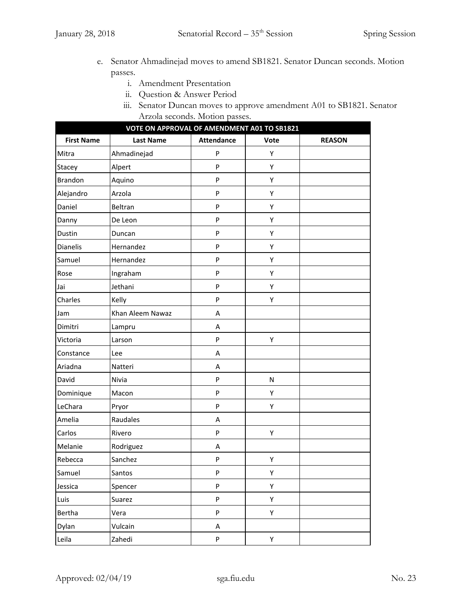- e. Senator Ahmadinejad moves to amend SB1821. Senator Duncan seconds. Motion passes.
	- i. Amendment Presentation
	- ii. Question & Answer Period
	- iii. Senator Duncan moves to approve amendment A01 to SB1821. Senator Arzola seconds. Motion passes.

|                   | VOTE ON APPROVAL OF AMENDMENT A01 TO SB1821 |                   |           |               |  |  |
|-------------------|---------------------------------------------|-------------------|-----------|---------------|--|--|
| <b>First Name</b> | <b>Last Name</b>                            | <b>Attendance</b> | Vote      | <b>REASON</b> |  |  |
| Mitra             | Ahmadinejad                                 | P                 | Υ         |               |  |  |
| Stacey            | Alpert                                      | ${\sf P}$         | Υ         |               |  |  |
| <b>Brandon</b>    | Aquino                                      | P                 | Υ         |               |  |  |
| Alejandro         | Arzola                                      | ${\sf P}$         | Υ         |               |  |  |
| Daniel            | Beltran                                     | ${\sf P}$         | Υ         |               |  |  |
| Danny             | De Leon                                     | ${\sf P}$         | Υ         |               |  |  |
| Dustin            | Duncan                                      | P                 | Υ         |               |  |  |
| <b>Dianelis</b>   | Hernandez                                   | P                 | Υ         |               |  |  |
| Samuel            | Hernandez                                   | P                 | Υ         |               |  |  |
| Rose              | Ingraham                                    | ${\sf P}$         | Υ         |               |  |  |
| Jai               | Jethani                                     | $\mathsf{P}$      | Υ         |               |  |  |
| Charles           | Kelly                                       | P                 | Υ         |               |  |  |
| Jam               | Khan Aleem Nawaz                            | Α                 |           |               |  |  |
| Dimitri           | Lampru                                      | Α                 |           |               |  |  |
| Victoria          | Larson                                      | P                 | Υ         |               |  |  |
| Constance         | Lee                                         | Α                 |           |               |  |  |
| Ariadna           | Natteri                                     | Α                 |           |               |  |  |
| David             | Nivia                                       | ${\sf P}$         | ${\sf N}$ |               |  |  |
| Dominique         | Macon                                       | P                 | Υ         |               |  |  |
| LeChara           | Pryor                                       | ${\sf P}$         | Υ         |               |  |  |
| Amelia            | Raudales                                    | A                 |           |               |  |  |
| Carlos            | Rivero                                      | ${\sf P}$         | Υ         |               |  |  |
| Melanie           | Rodriguez                                   | Α                 |           |               |  |  |
| Rebecca           | Sanchez                                     | P                 | Υ         |               |  |  |
| Samuel            | Santos                                      | ${\sf P}$         | Υ         |               |  |  |
| Jessica           | Spencer                                     | ${\sf P}$         | Υ         |               |  |  |
| Luis              | Suarez                                      | P                 | Υ         |               |  |  |
| Bertha            | Vera                                        | ${\sf P}$         | Υ         |               |  |  |
| Dylan             | Vulcain                                     | A                 |           |               |  |  |
| Leila             | Zahedi                                      | P                 | Υ         |               |  |  |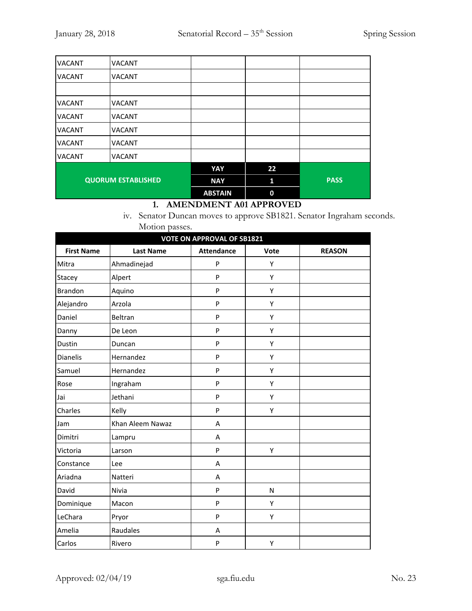| <b>VACANT</b>             | <b>VACANT</b> |                |    |             |
|---------------------------|---------------|----------------|----|-------------|
| <b>VACANT</b>             | <b>VACANT</b> |                |    |             |
|                           |               |                |    |             |
| <b>VACANT</b>             | <b>VACANT</b> |                |    |             |
| <b>VACANT</b>             | <b>VACANT</b> |                |    |             |
| <b>VACANT</b>             | <b>VACANT</b> |                |    |             |
| <b>VACANT</b>             | <b>VACANT</b> |                |    |             |
| <b>VACANT</b>             | <b>VACANT</b> |                |    |             |
|                           |               | YAY            | 22 |             |
| <b>QUORUM ESTABLISHED</b> |               | <b>NAY</b>     | 1  | <b>PASS</b> |
|                           |               | <b>ABSTAIN</b> | 0  |             |

# **1. AMENDMENT A01 APPROVED**

iv. Senator Duncan moves to approve SB1821. Senator Ingraham seconds. Motion passes.

| <b>VOTE ON APPROVAL OF SB1821</b> |                  |                   |      |               |  |
|-----------------------------------|------------------|-------------------|------|---------------|--|
| <b>First Name</b>                 | <b>Last Name</b> | <b>Attendance</b> | Vote | <b>REASON</b> |  |
| Mitra                             | Ahmadinejad      | P                 | Υ    |               |  |
| Stacey                            | Alpert           | P                 | Υ    |               |  |
| Brandon                           | Aquino           | P                 | Υ    |               |  |
| Alejandro                         | Arzola           | P                 | Υ    |               |  |
| Daniel                            | Beltran          | P                 | Y    |               |  |
| Danny                             | De Leon          | P                 | Υ    |               |  |
| Dustin                            | Duncan           | P                 | Υ    |               |  |
| <b>Dianelis</b>                   | Hernandez        | P                 | Υ    |               |  |
| Samuel                            | Hernandez        | P                 | Υ    |               |  |
| Rose                              | Ingraham         | P                 | Υ    |               |  |
| Jai                               | Jethani          | P                 | Υ    |               |  |
| Charles                           | Kelly            | P                 | Υ    |               |  |
| Jam                               | Khan Aleem Nawaz | A                 |      |               |  |
| Dimitri                           | Lampru           | Α                 |      |               |  |
| Victoria                          | Larson           | P                 | Υ    |               |  |
| Constance                         | Lee              | Α                 |      |               |  |
| Ariadna                           | Natteri          | Α                 |      |               |  |
| David                             | Nivia            | P                 | N    |               |  |
| Dominique                         | Macon            | P                 | Υ    |               |  |
| LeChara                           | Pryor            | P                 | Υ    |               |  |
| Amelia                            | Raudales         | A                 |      |               |  |
| Carlos                            | Rivero           | P                 | Υ    |               |  |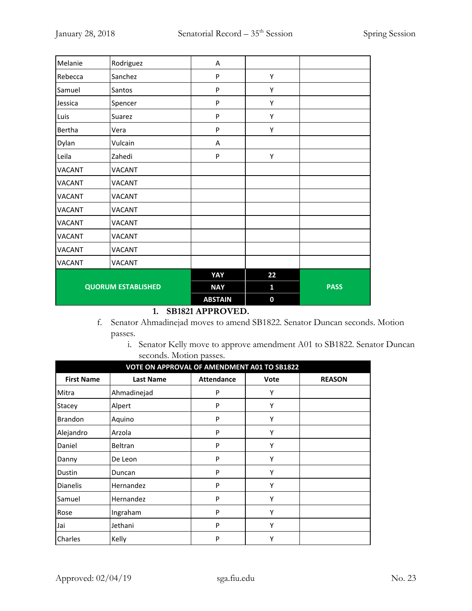| Melanie                   | Rodriguez                                        | A              |              |             |
|---------------------------|--------------------------------------------------|----------------|--------------|-------------|
| Rebecca                   | Sanchez                                          | $\mathsf{P}$   | Υ            |             |
| Samuel                    | Santos                                           | $\mathsf{P}$   | Υ            |             |
| Jessica                   | Spencer                                          | P              | Υ            |             |
| Luis                      | Suarez                                           | P              | Υ            |             |
| Bertha                    | Vera                                             | P              | Υ            |             |
| Dylan                     | Vulcain                                          | Α              |              |             |
| Leila                     | Zahedi                                           | P              | Υ            |             |
| <b>VACANT</b>             | <b>VACANT</b>                                    |                |              |             |
| <b>VACANT</b>             | VACANT                                           |                |              |             |
| <b>VACANT</b>             | <b>VACANT</b>                                    |                |              |             |
| <b>VACANT</b>             | VACANT                                           |                |              |             |
| <b>VACANT</b>             | VACANT                                           |                |              |             |
| <b>VACANT</b>             | VACANT                                           |                |              |             |
| <b>VACANT</b>             | <b>VACANT</b>                                    |                |              |             |
| <b>VACANT</b>             | <b>VACANT</b>                                    |                |              |             |
|                           |                                                  | YAY            | 22           |             |
| <b>QUORUM ESTABLISHED</b> |                                                  | <b>NAY</b>     | $\mathbf{1}$ | <b>PASS</b> |
|                           | $\alpha$ $\beta$ $\beta$ $\beta$ $\beta$ $\beta$ | <b>ABSTAIN</b> | $\mathbf 0$  |             |

#### **1. SB1821 APPROVED.**

- f. Senator Ahmadinejad moves to amend SB1822. Senator Duncan seconds. Motion passes.
	- i. Senator Kelly move to approve amendment A01 to SB1822. Senator Duncan seconds. Motion passes.

| VOTE ON APPROVAL OF AMENDMENT A01 TO SB1822 |                  |                   |      |               |
|---------------------------------------------|------------------|-------------------|------|---------------|
| <b>First Name</b>                           | <b>Last Name</b> | <b>Attendance</b> | Vote | <b>REASON</b> |
| Mitra                                       | Ahmadinejad      | P                 | Υ    |               |
| Stacey                                      | Alpert           | P                 | Υ    |               |
| <b>Brandon</b>                              | Aquino           | P                 | Υ    |               |
| Alejandro                                   | Arzola           | P                 | Υ    |               |
| Daniel                                      | Beltran          | P                 | Υ    |               |
| Danny                                       | De Leon          | P                 | Υ    |               |
| Dustin                                      | Duncan           | P                 | Υ    |               |
| <b>Dianelis</b>                             | Hernandez        | P                 | Υ    |               |
| Samuel                                      | Hernandez        | P                 | Υ    |               |
| Rose                                        | Ingraham         | P                 | Υ    |               |
| Jai                                         | Jethani          | P                 | Υ    |               |
| Charles                                     | Kelly            | P                 | Υ    |               |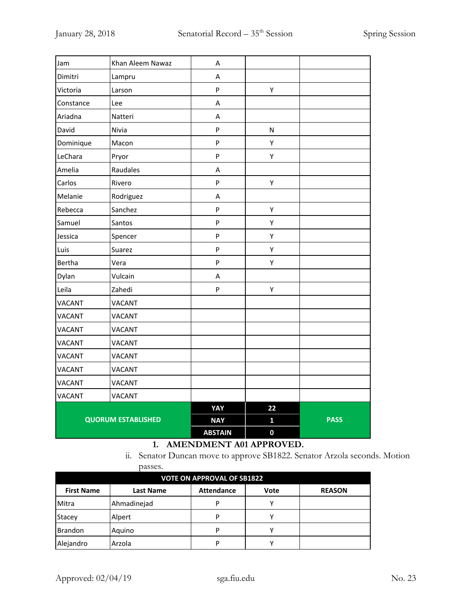| Jam                       | Khan Aleem Nawaz | A              |              |             |
|---------------------------|------------------|----------------|--------------|-------------|
| Dimitri                   | Lampru           | А              |              |             |
| Victoria                  | Larson           | P              | Υ            |             |
| Constance                 | Lee              | A              |              |             |
| Ariadna                   | Natteri          | A              |              |             |
| David                     | Nivia            | P              | ${\sf N}$    |             |
| Dominique                 | Macon            | P              | Υ            |             |
| LeChara                   | Pryor            | P              | Υ            |             |
| Amelia                    | Raudales         | Α              |              |             |
| Carlos                    | Rivero           | P              | Υ            |             |
| Melanie                   | Rodriguez        | A              |              |             |
| Rebecca                   | Sanchez          | P              | Υ            |             |
| Samuel                    | Santos           | P              | Υ            |             |
| Jessica                   | Spencer          | P              | Υ            |             |
| Luis                      | Suarez           | $\sf P$        | Υ            |             |
| Bertha                    | Vera             | P              | Υ            |             |
| Dylan                     | Vulcain          | A              |              |             |
| Leila                     | Zahedi           | P              | Υ            |             |
| <b>VACANT</b>             | <b>VACANT</b>    |                |              |             |
| VACANT                    | <b>VACANT</b>    |                |              |             |
| <b>VACANT</b>             | <b>VACANT</b>    |                |              |             |
| <b>VACANT</b>             | <b>VACANT</b>    |                |              |             |
| <b>VACANT</b>             | <b>VACANT</b>    |                |              |             |
| VACANT                    | <b>VACANT</b>    |                |              |             |
| <b>VACANT</b>             | <b>VACANT</b>    |                |              |             |
| <b>VACANT</b>             | <b>VACANT</b>    |                |              |             |
|                           |                  | YAY            | 22           |             |
| <b>QUORUM ESTABLISHED</b> |                  | <b>NAY</b>     | $\mathbf{1}$ | <b>PASS</b> |
|                           |                  | <b>ABSTAIN</b> | $\mathbf 0$  |             |

# **1. AMENDMENT A01 APPROVED.**

ii. Senator Duncan move to approve SB1822. Senator Arzola seconds. Motion passes.

| <b>VOTE ON APPROVAL OF SB1822</b> |                  |                   |      |               |  |  |
|-----------------------------------|------------------|-------------------|------|---------------|--|--|
| <b>First Name</b>                 | <b>Last Name</b> | <b>Attendance</b> | Vote | <b>REASON</b> |  |  |
| Mitra                             | Ahmadinejad      | P                 |      |               |  |  |
| <b>Stacey</b>                     | Alpert           | P                 |      |               |  |  |
| Brandon                           | Aquino           | P                 |      |               |  |  |
| Alejandro                         | Arzola           | P                 |      |               |  |  |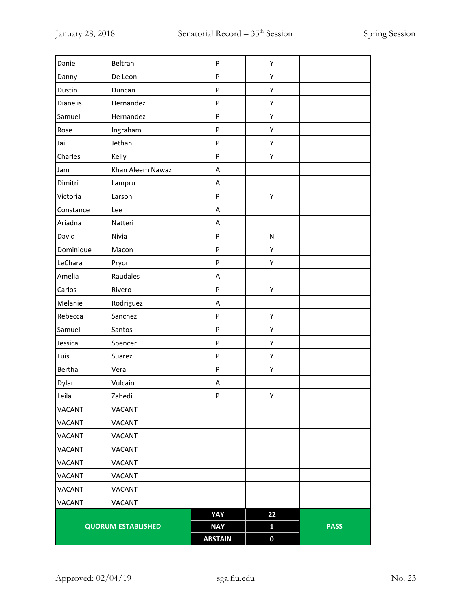| Daniel                    | Beltran          | ${\sf P}$                 | Υ            |             |
|---------------------------|------------------|---------------------------|--------------|-------------|
| Danny                     | De Leon          | ${\sf P}$                 | Υ            |             |
| Dustin                    | Duncan           | ${\sf P}$                 | Υ            |             |
| Dianelis                  | Hernandez        | ${\sf P}$                 | Υ            |             |
| Samuel                    | Hernandez        | ${\sf P}$                 | Υ            |             |
| Rose                      | Ingraham         | ${\sf P}$                 | Υ            |             |
| Jai                       | Jethani          | ${\sf P}$                 | Υ            |             |
| Charles                   | Kelly            | $\boldsymbol{\mathsf{P}}$ | Υ            |             |
| Jam                       | Khan Aleem Nawaz | A                         |              |             |
| Dimitri                   | Lampru           | A                         |              |             |
| Victoria                  | Larson           | ${\sf P}$                 | Υ            |             |
| Constance                 | Lee              | A                         |              |             |
| Ariadna                   | Natteri          | A                         |              |             |
| David                     | Nivia            | ${\sf P}$                 | $\mathsf{N}$ |             |
| Dominique                 | Macon            | ${\sf P}$                 | Υ            |             |
| LeChara                   | Pryor            | ${\sf P}$                 | Υ            |             |
| Amelia                    | Raudales         | A                         |              |             |
| Carlos                    | Rivero           | ${\sf P}$                 | Υ            |             |
| Melanie                   | Rodriguez        | A                         |              |             |
| Rebecca                   | Sanchez          | ${\sf P}$                 | Υ            |             |
| Samuel                    | Santos           | ${\sf P}$                 | Υ            |             |
| Jessica                   | Spencer          | ${\sf P}$                 | Υ            |             |
| Luis                      | Suarez           | ${\sf P}$                 | Υ            |             |
| Bertha                    | Vera             | ${\sf P}$                 | Υ            |             |
| Dylan                     | Vulcain          | Α                         |              |             |
| Leila                     | Zahedi           | ${\sf P}$                 | Υ            |             |
| VACANT                    | VACANT           |                           |              |             |
| VACANT                    | <b>VACANT</b>    |                           |              |             |
| VACANT                    | VACANT           |                           |              |             |
| VACANT                    | <b>VACANT</b>    |                           |              |             |
| VACANT                    | <b>VACANT</b>    |                           |              |             |
| VACANT                    | VACANT           |                           |              |             |
| <b>VACANT</b>             | VACANT           |                           |              |             |
| VACANT                    | VACANT           |                           |              |             |
|                           |                  | YAY                       | 22           |             |
| <b>QUORUM ESTABLISHED</b> |                  | <b>NAY</b>                | $\mathbf{1}$ | <b>PASS</b> |
|                           |                  | <b>ABSTAIN</b>            | $\bf{0}$     |             |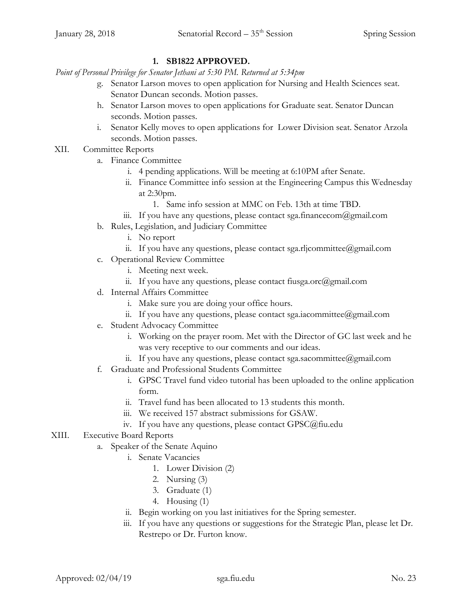## **1. SB1822 APPROVED.**

*Point of Personal Privilege for Senator Jethani at 5:30 PM. Returned at 5:34pm*

- g. Senator Larson moves to open application for Nursing and Health Sciences seat. Senator Duncan seconds. Motion passes.
- h. Senator Larson moves to open applications for Graduate seat. Senator Duncan seconds. Motion passes.
- i. Senator Kelly moves to open applications for Lower Division seat. Senator Arzola seconds. Motion passes.
- XII. Committee Reports
	- a. Finance Committee
		- i. 4 pending applications. Will be meeting at 6:10PM after Senate.
		- ii. Finance Committee info session at the Engineering Campus this Wednesday at 2:30pm.
			- 1. Same info session at MMC on Feb. 13th at time TBD.
		- iii. If you have any questions, please contact sga.financecom@gmail.com
	- b. Rules, Legislation, and Judiciary Committee
		- i. No report
		- ii. If you have any questions, please contact sga.rljcommittee@gmail.com
	- c. Operational Review Committee
		- i. Meeting next week.
		- ii. If you have any questions, please contact fiusga.orc $(\partial g$ mail.com
	- d. Internal Affairs Committee
		- i. Make sure you are doing your office hours.
		- ii. If you have any questions, please contact sga.iacommittee@gmail.com
	- e. Student Advocacy Committee
		- i. Working on the prayer room. Met with the Director of GC last week and he was very receptive to our comments and our ideas.
		- ii. If you have any questions, please contact sga.sacommittee@gmail.com
	- f. Graduate and Professional Students Committee
		- i. GPSC Travel fund video tutorial has been uploaded to the online application form.
		- ii. Travel fund has been allocated to 13 students this month.
		- iii. We received 157 abstract submissions for GSAW.
		- iv. If you have any questions, please contact GPSC@fiu.edu
- XIII. Executive Board Reports
	- a. Speaker of the Senate Aquino
		- i. Senate Vacancies
			- 1. Lower Division (2)
			- 2. Nursing (3)
			- 3. Graduate (1)
			- 4. Housing (1)
		- ii. Begin working on you last initiatives for the Spring semester.
		- iii. If you have any questions or suggestions for the Strategic Plan, please let Dr. Restrepo or Dr. Furton know.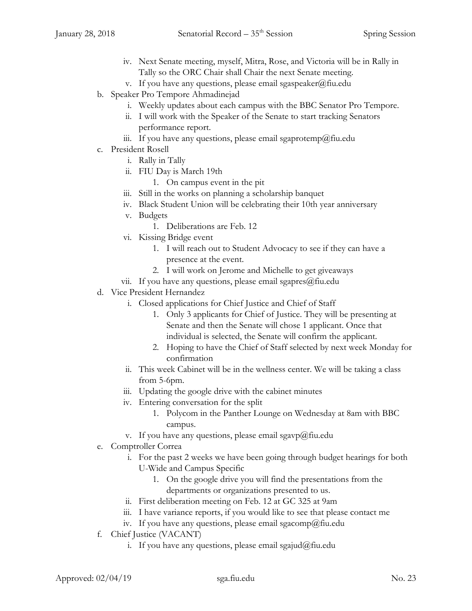- iv. Next Senate meeting, myself, Mitra, Rose, and Victoria will be in Rally in Tally so the ORC Chair shall Chair the next Senate meeting.
- v. If you have any questions, please email sgaspeaker@fiu.edu
- b. Speaker Pro Tempore Ahmadinejad
	- i. Weekly updates about each campus with the BBC Senator Pro Tempore.
	- ii. I will work with the Speaker of the Senate to start tracking Senators performance report.
	- iii. If you have any questions, please email sgaprotemp@fiu.edu
- c. President Rosell
	- i. Rally in Tally
	- ii. FIU Day is March 19th
		- 1. On campus event in the pit
	- iii. Still in the works on planning a scholarship banquet
	- iv. Black Student Union will be celebrating their 10th year anniversary
	- v. Budgets
		- 1. Deliberations are Feb. 12
	- vi. Kissing Bridge event
		- 1. I will reach out to Student Advocacy to see if they can have a presence at the event.
		- 2. I will work on Jerome and Michelle to get giveaways
	- vii. If you have any questions, please email sgapres $@$ fiu.edu
- d. Vice President Hernandez
	- i. Closed applications for Chief Justice and Chief of Staff
		- 1. Only 3 applicants for Chief of Justice. They will be presenting at Senate and then the Senate will chose 1 applicant. Once that individual is selected, the Senate will confirm the applicant.
		- 2. Hoping to have the Chief of Staff selected by next week Monday for confirmation
	- ii. This week Cabinet will be in the wellness center. We will be taking a class from 5-6pm.
	- iii. Updating the google drive with the cabinet minutes
	- iv. Entering conversation for the split
		- 1. Polycom in the Panther Lounge on Wednesday at 8am with BBC campus.
	- v. If you have any questions, please email sgavp@fiu.edu
- e. Comptroller Correa
	- i. For the past 2 weeks we have been going through budget hearings for both U-Wide and Campus Specific
		- 1. On the google drive you will find the presentations from the departments or organizations presented to us.
	- ii. First deliberation meeting on Feb. 12 at GC 325 at 9am
	- iii. I have variance reports, if you would like to see that please contact me
	- iv. If you have any questions, please email sgacomp@fiu.edu
- f. Chief Justice (VACANT)
	- i. If you have any questions, please email sgajud@fiu.edu